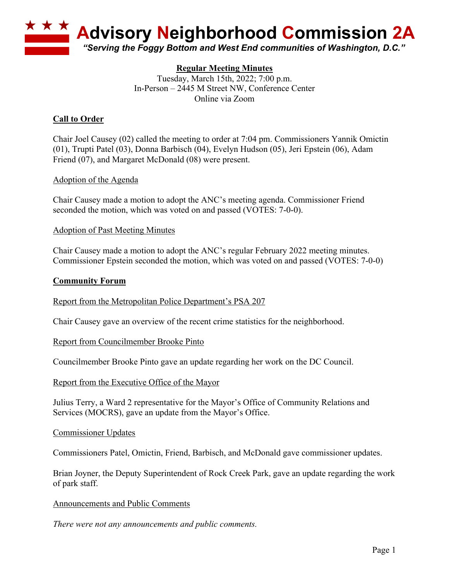

# **Regular Meeting Minutes**

Tuesday, March 15th, 2022; 7:00 p.m. In-Person – 2445 M Street NW, Conference Center Online via Zoom

# **Call to Order**

Chair Joel Causey (02) called the meeting to order at 7:04 pm. Commissioners Yannik Omictin (01), Trupti Patel (03), Donna Barbisch (04), Evelyn Hudson (05), Jeri Epstein (06), Adam Friend (07), and Margaret McDonald (08) were present.

## Adoption of the Agenda

Chair Causey made a motion to adopt the ANC's meeting agenda. Commissioner Friend seconded the motion, which was voted on and passed (VOTES: 7-0-0).

## Adoption of Past Meeting Minutes

Chair Causey made a motion to adopt the ANC's regular February 2022 meeting minutes. Commissioner Epstein seconded the motion, which was voted on and passed (VOTES: 7-0-0)

## **Community Forum**

Report from the Metropolitan Police Department's PSA 207

Chair Causey gave an overview of the recent crime statistics for the neighborhood.

#### Report from Councilmember Brooke Pinto

Councilmember Brooke Pinto gave an update regarding her work on the DC Council.

Report from the Executive Office of the Mayor

Julius Terry, a Ward 2 representative for the Mayor's Office of Community Relations and Services (MOCRS), gave an update from the Mayor's Office.

#### Commissioner Updates

Commissioners Patel, Omictin, Friend, Barbisch, and McDonald gave commissioner updates.

Brian Joyner, the Deputy Superintendent of Rock Creek Park, gave an update regarding the work of park staff.

#### Announcements and Public Comments

*There were not any announcements and public comments.*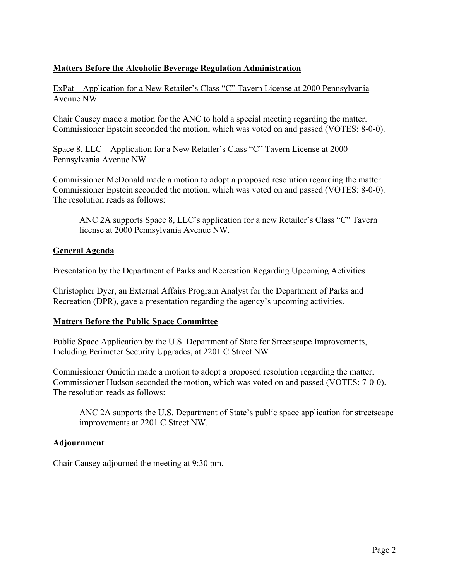# **Matters Before the Alcoholic Beverage Regulation Administration**

ExPat – Application for a New Retailer's Class "C" Tavern License at 2000 Pennsylvania Avenue NW

Chair Causey made a motion for the ANC to hold a special meeting regarding the matter. Commissioner Epstein seconded the motion, which was voted on and passed (VOTES: 8-0-0).

Space 8, LLC – Application for a New Retailer's Class "C" Tavern License at 2000 Pennsylvania Avenue NW

Commissioner McDonald made a motion to adopt a proposed resolution regarding the matter. Commissioner Epstein seconded the motion, which was voted on and passed (VOTES: 8-0-0). The resolution reads as follows:

ANC 2A supports Space 8, LLC's application for a new Retailer's Class "C" Tavern license at 2000 Pennsylvania Avenue NW.

## **General Agenda**

Presentation by the Department of Parks and Recreation Regarding Upcoming Activities

Christopher Dyer, an External Affairs Program Analyst for the Department of Parks and Recreation (DPR), gave a presentation regarding the agency's upcoming activities.

## **Matters Before the Public Space Committee**

Public Space Application by the U.S. Department of State for Streetscape Improvements, Including Perimeter Security Upgrades, at 2201 C Street NW

Commissioner Omictin made a motion to adopt a proposed resolution regarding the matter. Commissioner Hudson seconded the motion, which was voted on and passed (VOTES: 7-0-0). The resolution reads as follows:

ANC 2A supports the U.S. Department of State's public space application for streetscape improvements at 2201 C Street NW.

## **Adjournment**

Chair Causey adjourned the meeting at 9:30 pm.